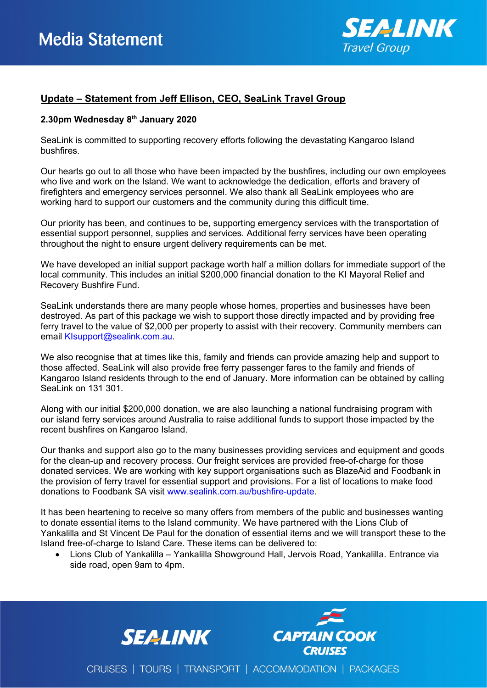

## **Update – Statement from Jeff Ellison, CEO, SeaLink Travel Group**

## **2.30pm Wednesday 8th January 2020**

SeaLink is committed to supporting recovery efforts following the devastating Kangaroo Island bushfires.

Our hearts go out to all those who have been impacted by the bushfires, including our own employees who live and work on the Island. We want to acknowledge the dedication, efforts and bravery of firefighters and emergency services personnel. We also thank all SeaLink employees who are working hard to support our customers and the community during this difficult time.

Our priority has been, and continues to be, supporting emergency services with the transportation of essential support personnel, supplies and services. Additional ferry services have been operating throughout the night to ensure urgent delivery requirements can be met.

We have developed an initial support package worth half a million dollars for immediate support of the local community. This includes an initial \$200,000 financial donation to the KI Mayoral Relief and Recovery Bushfire Fund.

SeaLink understands there are many people whose homes, properties and businesses have been destroyed. As part of this package we wish to support those directly impacted and by providing free ferry travel to the value of \$2,000 per property to assist with their recovery. Community members can email [KIsupport@sealink.com.au.](mailto:KIsupport@sealink.com.au)

We also recognise that at times like this, family and friends can provide amazing help and support to those affected. SeaLink will also provide free ferry passenger fares to the family and friends of Kangaroo Island residents through to the end of January. More information can be obtained by calling SeaLink on 131 301.

Along with our initial \$200,000 donation, we are also launching a national fundraising program with our island ferry services around Australia to raise additional funds to support those impacted by the recent bushfires on Kangaroo Island.

Our thanks and support also go to the many businesses providing services and equipment and goods for the clean-up and recovery process. Our freight services are provided free-of-charge for those donated services. We are working with key support organisations such as BlazeAid and Foodbank in the provision of ferry travel for essential support and provisions. For a list of locations to make food donations to Foodbank SA visit [www.sealink.com.au/bushfire-update.](https://www.sealink.com.au/bushfire-update)

It has been heartening to receive so many offers from members of the public and businesses wanting to donate essential items to the Island community. We have partnered with the Lions Club of Yankalilla and St Vincent De Paul for the donation of essential items and we will transport these to the Island free-of-charge to Island Care. These items can be delivered to:

• Lions Club of Yankalilla – Yankalilla Showground Hall, Jervois Road, Yankalilla. Entrance via side road, open 9am to 4pm.